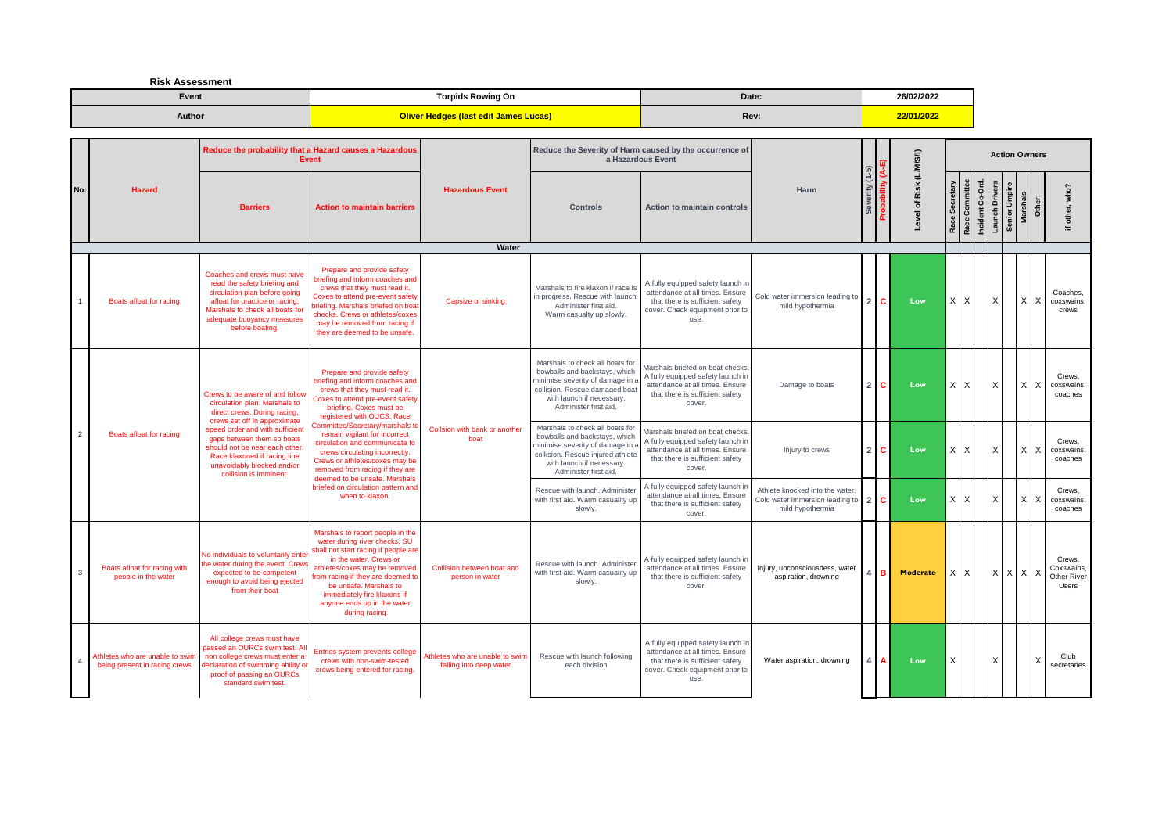**Risk Assessment**

| Event  | Torpids Rowing On                               | Date: | 26/02/2022 |
|--------|-------------------------------------------------|-------|------------|
| Author | <b>(last edit James Lucas)</b><br><b>Theque</b> | Rev:  | 2/01/202   |

|                |                                                                  |                                                                                                                                                                                                                    | Reduce the probability that a Hazard causes a Hazardous<br><b>Event</b>                                                                                                                                                                                                                                            |                                                            | Reduce the Severity of Harm caused by the occurrence of<br>a Hazardous Event                                                                                                                  |                                                                                                                                                      |                                                                                       |                   |     | (LWWSII)           |            |                                    |                       |                           | <b>Action Owners</b> |                                                     |
|----------------|------------------------------------------------------------------|--------------------------------------------------------------------------------------------------------------------------------------------------------------------------------------------------------------------|--------------------------------------------------------------------------------------------------------------------------------------------------------------------------------------------------------------------------------------------------------------------------------------------------------------------|------------------------------------------------------------|-----------------------------------------------------------------------------------------------------------------------------------------------------------------------------------------------|------------------------------------------------------------------------------------------------------------------------------------------------------|---------------------------------------------------------------------------------------|-------------------|-----|--------------------|------------|------------------------------------|-----------------------|---------------------------|----------------------|-----------------------------------------------------|
| No:            | Hazard                                                           | <b>Barriers</b>                                                                                                                                                                                                    | <b>Action to maintain barriers</b>                                                                                                                                                                                                                                                                                 | <b>Hazardous Event</b>                                     | <b>Controls</b>                                                                                                                                                                               | <b>Action to maintain controls</b>                                                                                                                   | <b>Harm</b>                                                                           | erity (1-5)<br>တိ |     | Risk<br>৳<br>Level | ဖိ<br>Race | Incident Co-Ord.<br>Race Committee | <b>Launch Drivers</b> | Senior Umpire<br>Marshals | Other                | if other, who?                                      |
|                |                                                                  |                                                                                                                                                                                                                    |                                                                                                                                                                                                                                                                                                                    | Water                                                      |                                                                                                                                                                                               |                                                                                                                                                      |                                                                                       |                   |     |                    |            |                                    |                       |                           |                      |                                                     |
|                | Boats afloat for racing                                          | Coaches and crews must have<br>read the safety briefing and<br>circulation plan before going<br>afloat for practice or racing.<br>Marshals to check all boats for<br>adequate buoyancy measures<br>before boating. | Prepare and provide safety<br>riefing and inform coaches and<br>crews that they must read it.<br>Coxes to attend pre-event safety<br>priefing. Marshals briefed on boat<br>checks. Crews or athletes/coxes<br>may be removed from racing if<br>they are deemed to be unsafe.                                       | Capsize or sinking                                         | Marshals to fire klaxon if race is<br>in progress. Rescue with launch<br>Administer first aid.<br>Warm casualty up slowly.                                                                    | A fully equipped safety launch in<br>attendance at all times. Ensure<br>that there is sufficient safety<br>cover. Check equipment prior to<br>use.   | Cold water immersion leading to<br>mild hypothermia                                   | 2 C               |     | Low                | X          | X                                  |                       |                           | $X$ $X$              | Coaches.<br>coxswains<br>crews                      |
|                |                                                                  | Crews to be aware of and follow<br>circulation plan. Marshals to<br>direct crews. During racing,<br>crews set off in approximate                                                                                   | Prepare and provide safety<br>priefing and inform coaches and<br>crews that they must read it.<br>Coxes to attend pre-event safety<br>briefing. Coxes must be<br>registered with OUCS. Race                                                                                                                        |                                                            | Marshals to check all boats for<br>bowballs and backstays, which<br>minimise severity of damage in<br>collision. Rescue damaged boat<br>with launch if necessary.<br>Administer first aid.    | Marshals briefed on boat checks<br>A fully equipped safety launch in<br>attendance at all times. Ensure<br>that there is sufficient safety<br>cover. | Damage to boats                                                                       | 21C               |     | Low                | X          | X                                  |                       |                           | $x \mid x$           | Crews.<br>coxswains<br>coaches                      |
| $\overline{2}$ | Boats afloat for racing                                          | speed order and with sufficient<br>gaps between them so boats<br>should not be near each other.<br>Race klaxoned if racing line<br>unavoidably blocked and/or<br>collision is imminent.                            | <b>committee/Secretary/marshals to</b><br>remain vigilant for incorrect<br>circulation and communicate to<br>crews circulating incorrectly.<br>Crews or athletes/coxes may be<br>removed from racing if they are<br>deemed to be unsafe. Marshals                                                                  | Collsion with bank or another<br>boat                      | Marshals to check all boats for<br>bowballs and backstays, which<br>minimise severity of damage in<br>collision. Rescue injured athlete<br>with launch if necessary.<br>Administer first aid. | Marshals briefed on boat checks<br>A fully equipped safety launch in<br>attendance at all times. Ensure<br>that there is sufficient safety<br>cover. | Injury to crews                                                                       | $2 \mid C$        |     | Low                | $\times$   | X                                  | x                     |                           | XX                   | Crews.<br>coxswains.<br>coaches                     |
|                |                                                                  |                                                                                                                                                                                                                    | briefed on circulation pattern and<br>when to klaxon.                                                                                                                                                                                                                                                              |                                                            | Rescue with launch, Administer<br>with first aid. Warm casuality up<br>slowly.                                                                                                                | A fully equipped safety launch ir<br>attendance at all times. Ensure<br>that there is sufficient safety<br>cover.                                    | Athlete knocked into the water<br>Cold water immersion leading to<br>mild hypothermia | 2 C               |     | Low                | X          | X                                  |                       |                           | $X$   $X$            | Crews.<br>coxswains.<br>coaches                     |
| $\mathbf{3}$   | Boats afloat for racing with<br>people in the water              | No individuals to voluntarily enter<br>the water during the event. Crew<br>expected to be competent<br>enough to avoid being ejected<br>from their boat                                                            | Marshals to report people in the<br>water during river checks. SU<br>shall not start racing if people are<br>in the water. Crews or<br>athletes/coxes may be removed<br>from racing if they are deemed to<br>be unsafe. Marshals to<br>immediately fire klaxons if<br>anyone ends up in the water<br>during racing | Collision between boat and<br>person in water              | Rescue with launch. Administer<br>with first aid. Warm casuality up<br>slowly.                                                                                                                | A fully equipped safety launch in<br>attendance at all times. Ensure<br>that there is sufficient safety<br>cover.                                    | Injury, unconsciousness, water<br>aspiration, drowning                                |                   | IB. | <b>Moderate</b>    |            | X                                  |                       | $X$ $X$ $X$               |                      | Crews.<br>Coxswains,<br>Other River<br><b>Users</b> |
|                | Athletes who are unable to swim<br>being present in racing crews | All college crews must have<br>assed an OURCs swim test. Al<br>non college crews must enter a<br>declaration of swimming ability o<br>proof of passing an OURCs<br>standard swim test.                             | Entries system prevents college<br>crews with non-swim-tested<br>crews being entered for racing.                                                                                                                                                                                                                   | Athletes who are unable to swin<br>falling into deep water | Rescue with launch following<br>each division                                                                                                                                                 | A fully equipped safety launch in<br>attendance at all times. Ensure<br>that there is sufficient safety<br>cover. Check equipment prior to<br>use.   | Water aspiration, drowning                                                            | Δ                 |     | Low                | X          |                                    |                       |                           | l X                  | Club<br>secretaries                                 |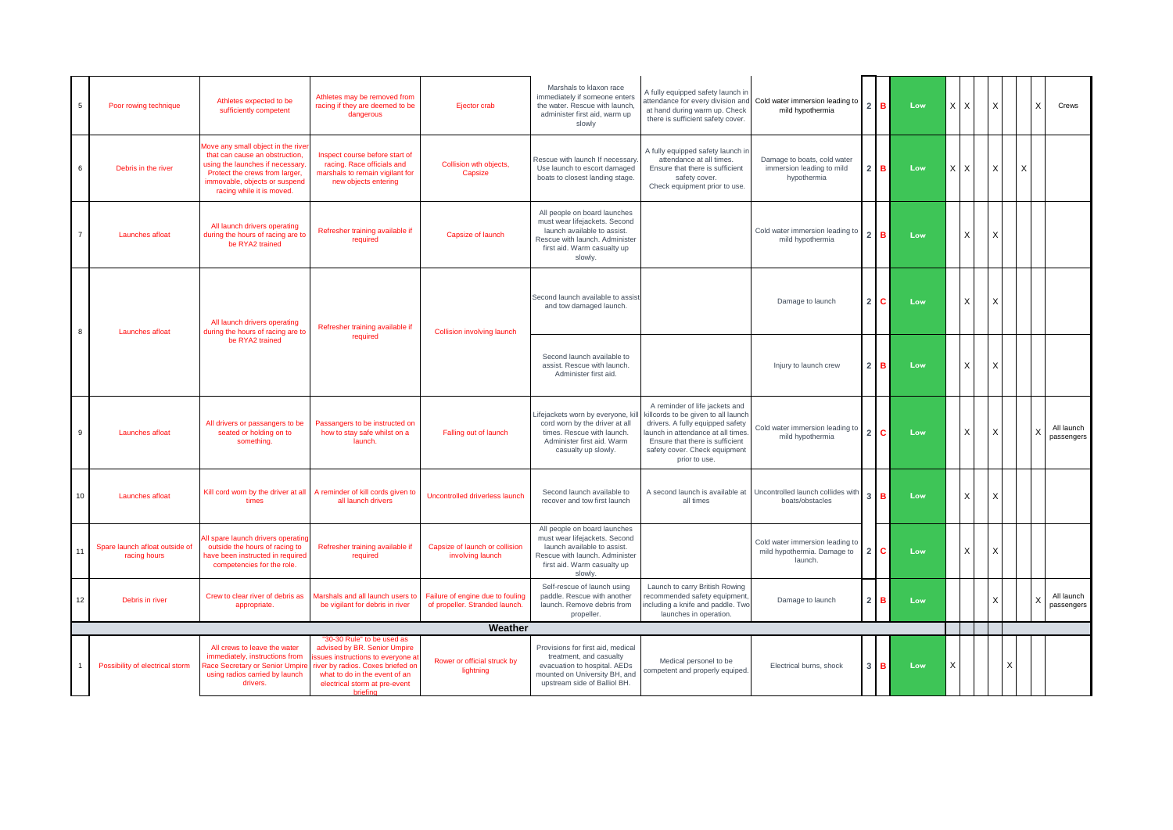| 5  | Poor rowing technique                          | Athletes expected to be<br>sufficiently competent                                                                                                                                                       | Athletes may be removed from<br>racing if they are deemed to be<br>dangerous                                                                                                                                       | Ejector crab                                                       | Marshals to klaxon race<br>immediately if someone enters<br>the water. Rescue with launch,<br>administer first aid, warm up<br>slowly                                    | A fully equipped safety launch in<br>attendance for every division and<br>at hand during warm up. Check<br>there is sufficient safety cover.                                                                                        | Cold water immersion leading to<br>mild hypothermia                       |                | $2$ B        | Low | $X$ $X$ |              | X        |   | $\times$                  | Crews                    |
|----|------------------------------------------------|---------------------------------------------------------------------------------------------------------------------------------------------------------------------------------------------------------|--------------------------------------------------------------------------------------------------------------------------------------------------------------------------------------------------------------------|--------------------------------------------------------------------|--------------------------------------------------------------------------------------------------------------------------------------------------------------------------|-------------------------------------------------------------------------------------------------------------------------------------------------------------------------------------------------------------------------------------|---------------------------------------------------------------------------|----------------|--------------|-----|---------|--------------|----------|---|---------------------------|--------------------------|
| 6  | Debris in the river                            | Move any small object in the river<br>that can cause an obstruction,<br>using the launches if necessary<br>Protect the crews from larger,<br>immovable, objects or suspend<br>racing while it is moved. | Inspect course before start of<br>racing. Race officials and<br>marshals to remain vigilant for<br>new objects entering                                                                                            | Collision wth objects,<br>Capsize                                  | Rescue with launch If necessary<br>Use launch to escort damaged<br>boats to closest landing stage.                                                                       | A fully equipped safety launch in<br>attendance at all times.<br>Ensure that there is sufficient<br>safety cover.<br>Check equipment prior to use.                                                                                  | Damage to boats, cold water<br>immersion leading to mild<br>hypothermia   | $\overline{2}$ | в            | Low | XX      |              | Χ        |   | X                         |                          |
|    | Launches afloat                                | All launch drivers operating<br>during the hours of racing are to<br>be RYA2 trained                                                                                                                    | Refresher training available if<br>required                                                                                                                                                                        | Capsize of launch                                                  | All people on board launches<br>must wear lifejackets. Second<br>launch available to assist.<br>Rescue with launch, Administer<br>first aid. Warm casualty up<br>slowly. |                                                                                                                                                                                                                                     | Cold water immersion leading to<br>mild hypothermia                       | 2 <sup>1</sup> | B            | Low |         | X            | X        |   |                           |                          |
| 8  | Launches afloat                                | All launch drivers operating<br>during the hours of racing are to                                                                                                                                       | Refresher training available if                                                                                                                                                                                    | <b>Collision involving launch</b>                                  | Second launch available to assist<br>and tow damaged launch.                                                                                                             |                                                                                                                                                                                                                                     | Damage to launch                                                          | 2 <sup>1</sup> | $\mathbf{C}$ | Low |         | X            | X        |   |                           |                          |
|    |                                                | be RYA2 trained                                                                                                                                                                                         | required                                                                                                                                                                                                           |                                                                    | Second launch available to<br>assist. Rescue with launch.<br>Administer first aid.                                                                                       |                                                                                                                                                                                                                                     | Injury to launch crew                                                     | 2 <sup>1</sup> | в            | Low |         | X            | Х        |   |                           |                          |
| 9  | Launches afloat                                | All drivers or passangers to be<br>seated or holding on to<br>something.                                                                                                                                | Passangers to be instructed on<br>how to stay safe whilst on a<br>launch.                                                                                                                                          | Falling out of launch                                              | Lifejackets worn by everyone, ki<br>cord worn by the driver at all<br>times. Rescue with launch.<br>Administer first aid. Warm<br>casualty up slowly.                    | A reminder of life jackets and<br>killcords to be given to all launch<br>drivers. A fully equipped safety<br>launch in attendance at all times<br>Ensure that there is sufficient<br>safety cover. Check equipment<br>prior to use. | Cold water immersion leading to<br>mild hypothermia                       | 2 <sup>1</sup> | C.           | Low |         | X            | Χ        |   | $\times$                  | All launch<br>passengers |
| 10 | Launches afloat                                | times                                                                                                                                                                                                   | Kill cord worn by the driver at all A reminder of kill cords given to<br>all launch drivers                                                                                                                        | Uncontrolled driverless launch                                     | Second launch available to<br>recover and tow first launch                                                                                                               | A second launch is available at<br>all times                                                                                                                                                                                        | Uncontrolled launch collides with<br>boats/obstacles                      | $\mathbf{3}$   | $\mathbf{B}$ | Low |         | $\mathsf{x}$ | $\times$ |   |                           |                          |
| 11 | Spare launch afloat outside of<br>racing hours | All spare launch drivers operatin<br>outside the hours of racing to<br>have been instructed in required<br>competencies for the role.                                                                   | Refresher training available if<br>required                                                                                                                                                                        | Capsize of launch or collision<br>involving launch                 | All people on board launches<br>must wear lifejackets. Second<br>launch available to assist.<br>Rescue with launch. Administer<br>first aid. Warm casualty up<br>slowly. |                                                                                                                                                                                                                                     | Cold water immersion leading to<br>mild hypothermia. Damage to<br>launch. | 2 <sub>1</sub> | C.           | Low |         | X            | X        |   |                           |                          |
| 12 | Debris in river                                | Crew to clear river of debris as<br>appropriate.                                                                                                                                                        | Marshals and all launch users to<br>be vigilant for debris in river                                                                                                                                                | Failure of engine due to fouling<br>of propeller. Stranded launch. | Self-rescue of launch using<br>paddle. Rescue with another<br>launch. Remove debris from<br>propeller.                                                                   | Launch to carry British Rowing<br>recommended safety equipment,<br>ncluding a knife and paddle. Two<br>launches in operation.                                                                                                       | Damage to launch                                                          |                | $2$ B        | Low |         |              | X        |   | $\boldsymbol{\mathsf{x}}$ | All launch<br>passengers |
|    |                                                |                                                                                                                                                                                                         |                                                                                                                                                                                                                    | Weather                                                            |                                                                                                                                                                          |                                                                                                                                                                                                                                     |                                                                           |                |              |     |         |              |          |   |                           |                          |
|    | Possibility of electrical storm                | All crews to leave the water<br>immediately, instructions from<br>Race Secretary or Senior Umpire<br>using radios carried by launch<br>drivers.                                                         | "30-30 Rule" to be used as<br>advised by BR. Senior Umpire<br>ssues instructions to everyone at<br>river by radios. Coxes briefed on<br>what to do in the event of an<br>electrical storm at pre-event<br>briefing | Rower or official struck by<br>lightning                           | Provisions for first aid, medical<br>treatment, and casualty<br>evacuation to hospital. AEDs<br>mounted on University BH, and<br>upstream side of Balliol BH.            | Medical personel to be<br>competent and properly equiped.                                                                                                                                                                           | Electrical burns, shock                                                   |                | $3$ $B$      | Low | X       |              |          | X |                           |                          |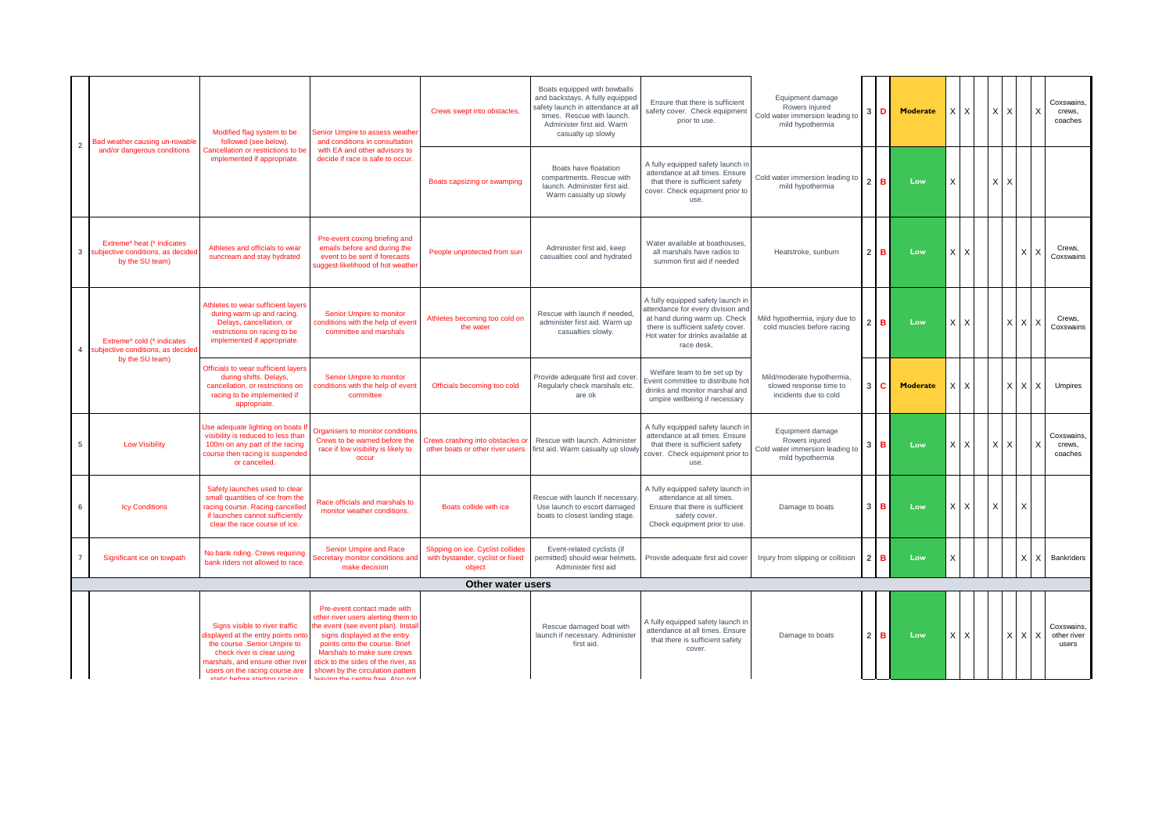| $\overline{2}$ | Bad weather causing un-rowable                                                    | Modified flag system to be<br>followed (see below).<br>Cancellation or restrictions to be<br>implemented if appropriate.                                                                                                                  | Senior Umpire to assess weather<br>and conditions in consultation                                                                                                                                                                                                                                                      | Crews swept into obstacles.                                                     | Boats equipped with bowballs<br>and backstays. A fully equipped<br>safety launch in attendance at a<br>times. Rescue with launch.<br>Administer first aid. Warm<br>casualty up slowly | Ensure that there is sufficient<br>safety cover. Check equipment<br>prior to use.                                                                                                               | Equipment damage<br>Rowers injured<br>Cold water immersion leading to<br>mild hypothermia |                | D | <b>Moderate</b> | x | X        | l X | X | — Х            | Coxswains.<br>crews,<br>coaches    |
|----------------|-----------------------------------------------------------------------------------|-------------------------------------------------------------------------------------------------------------------------------------------------------------------------------------------------------------------------------------------|------------------------------------------------------------------------------------------------------------------------------------------------------------------------------------------------------------------------------------------------------------------------------------------------------------------------|---------------------------------------------------------------------------------|---------------------------------------------------------------------------------------------------------------------------------------------------------------------------------------|-------------------------------------------------------------------------------------------------------------------------------------------------------------------------------------------------|-------------------------------------------------------------------------------------------|----------------|---|-----------------|---|----------|-----|---|----------------|------------------------------------|
|                | and/or dangerous conditions                                                       |                                                                                                                                                                                                                                           | with EA and other advisors to<br>decide if race is safe to occur.                                                                                                                                                                                                                                                      | Boats capsizing or swamping                                                     | Boats have floatation<br>compartments. Rescue with<br>launch. Administer first aid.<br>Warm casualty up slowly                                                                        | A fully equipped safety launch in<br>attendance at all times. Ensure<br>that there is sufficient safety<br>cover. Check equipment prior to<br>use.                                              | Cold water immersion leading to<br>mild hypothermia                                       |                | в | Low             | X |          | x   | X |                |                                    |
| $\mathbf{3}$   | Extreme* heat (* indicates<br>subjective conditions, as decide<br>by the SU team) | Athletes and officials to wear<br>suncream and stay hydrated                                                                                                                                                                              | Pre-event coxing briefing and<br>emails before and during the<br>event to be sent if forecasts<br>suggest likelihood of hot weather                                                                                                                                                                                    | People unprotected from sun                                                     | Administer first aid, keep<br>casualties cool and hydrated                                                                                                                            | Water available at boathouses,<br>all marshals have radios to<br>summon first aid if needed                                                                                                     | Heatstroke, sunburn                                                                       | 2 <sub>1</sub> | в | Low             | X | $\times$ |     |   | X              | Crews.<br>Coxswains                |
|                | Extreme* cold (* indicates<br>ubjective conditions, as decide                     | Athletes to wear sufficient layers<br>during warm up and racing.<br>Delays, cancellation, or<br>restrictions on racing to be<br>implemented if appropriate.                                                                               | Senior Umpire to monitor<br>conditions with the help of event<br>committee and marshals                                                                                                                                                                                                                                | Athletes becoming too cold on<br>the water                                      | Rescue with launch if needed.<br>administer first aid. Warm up<br>casualties slowly.                                                                                                  | A fully equipped safety launch in<br>attendance for every division and<br>at hand during warm up. Check<br>there is sufficient safety cover.<br>Hot water for drinks available at<br>race desk. | Mild hypothermia, injury due to<br>cold muscles before racing                             |                | в | Low             | X | X        |     |   | $X$ $X$ $X$    | Crews.<br>Coxswains                |
|                | by the SU team)                                                                   | Officials to wear sufficient layers<br>during shifts. Delays,<br>cancellation, or restrictions on<br>racing to be implemented if<br>appropriate.                                                                                          | Senior Umpire to monitor<br>conditions with the help of event<br>committee                                                                                                                                                                                                                                             | Officials becoming too cold                                                     | Provide adequate first aid cover.<br>Regularly check marshals etc.<br>are ok                                                                                                          | Welfare team to be set up by<br>Event committee to distribute hot<br>drinks and monitor marshal and<br>umpire wellbeing if necessary                                                            | Mild/moderate hypothermia,<br>slowed response time to<br>incidents due to cold            |                |   | <b>Moderate</b> |   | X        |     |   | $X$ $X$ $X$    | Umpires                            |
| 5              | <b>Low Visibility</b>                                                             | Use adequate lighting on boats I<br>visibility is reduced to less than<br>100m on any part of the racing<br>course then racing is suspended<br>or cancelled.                                                                              | Organisers to monitor conditions<br>Crews to be warned before the<br>race if low visibility is likely to<br>occur                                                                                                                                                                                                      | Crews crashing into obstacles or<br>other boats or other river users            | Rescue with launch. Administer<br>first aid. Warm casualty up slowly                                                                                                                  | A fully equipped safety launch ir<br>attendance at all times. Ensure<br>that there is sufficient safety<br>cover. Check equipment prior to<br>use.                                              | Equipment damage<br>Rowers injured<br>Cold water immersion leading to<br>mild hypothermia |                | в | Low             | X | X        |     | X |                | Coxswains.<br>crews.<br>coaches    |
| 6              | <b>Icy Conditions</b>                                                             | Safety launches used to clear<br>small quantities of ice from the<br>racing course. Racing cancelled<br>if launches cannot sufficiently<br>clear the race course of ice.                                                                  | Race officials and marshals to<br>monitor weather conditions.                                                                                                                                                                                                                                                          | Boats collide with ice                                                          | Rescue with launch If necessary<br>Use launch to escort damaged<br>boats to closest landing stage.                                                                                    | A fully equipped safety launch in<br>attendance at all times.<br>Ensure that there is sufficient<br>safety cover.<br>Check equipment prior to use.                                              | Damage to boats                                                                           |                | в | Low             | X | X        | X   |   | $\times$       |                                    |
| $\overline{7}$ | Significant ice on towpath                                                        | No bank riding. Crews requiring<br>bank riders not allowed to race.                                                                                                                                                                       | Senior Umpire and Race<br>ecretary monitor conditions and<br>make decision                                                                                                                                                                                                                                             | Slipping on ice. Cyclist collides<br>with bystander, cyclist or fixed<br>object | Event-related cyclists (if<br>permitted) should wear helmets.<br>Administer first aid                                                                                                 | Provide adequate first aid cover                                                                                                                                                                | Injury from slipping or collision                                                         | 2 <sup>1</sup> | в | Low             | X |          |     |   | $\times$<br>ΙX | Bankriders                         |
|                |                                                                                   |                                                                                                                                                                                                                                           | Other water users                                                                                                                                                                                                                                                                                                      |                                                                                 |                                                                                                                                                                                       |                                                                                                                                                                                                 |                                                                                           |                |   |                 |   |          |     |   |                |                                    |
|                |                                                                                   | Signs visible to river traffic<br>lisplayed at the entry points onte<br>the course .Senior Umpire to<br>check river is clear using<br>marshals, and ensure other river<br>users on the racing course are<br>etatio hoforo etarting racing | Pre-event contact made with<br>other river users alerting them to<br>he event (see event plan). Install<br>signs displayed at the entry<br>points onto the course. Brief<br>Marshals to make sure crews<br>stick to the sides of the river, as<br>shown by the circulation pattern<br>loguing the centre from Alen not |                                                                                 | Rescue damaged boat with<br>launch if necessary. Administer<br>first aid.                                                                                                             | A fully equipped safety launch ir<br>attendance at all times. Ensure<br>that there is sufficient safety<br>cover.                                                                               | Damage to boats                                                                           |                | в | Low             | X | X        |     | X | $X$ $\lambda$  | Coxswains.<br>other river<br>users |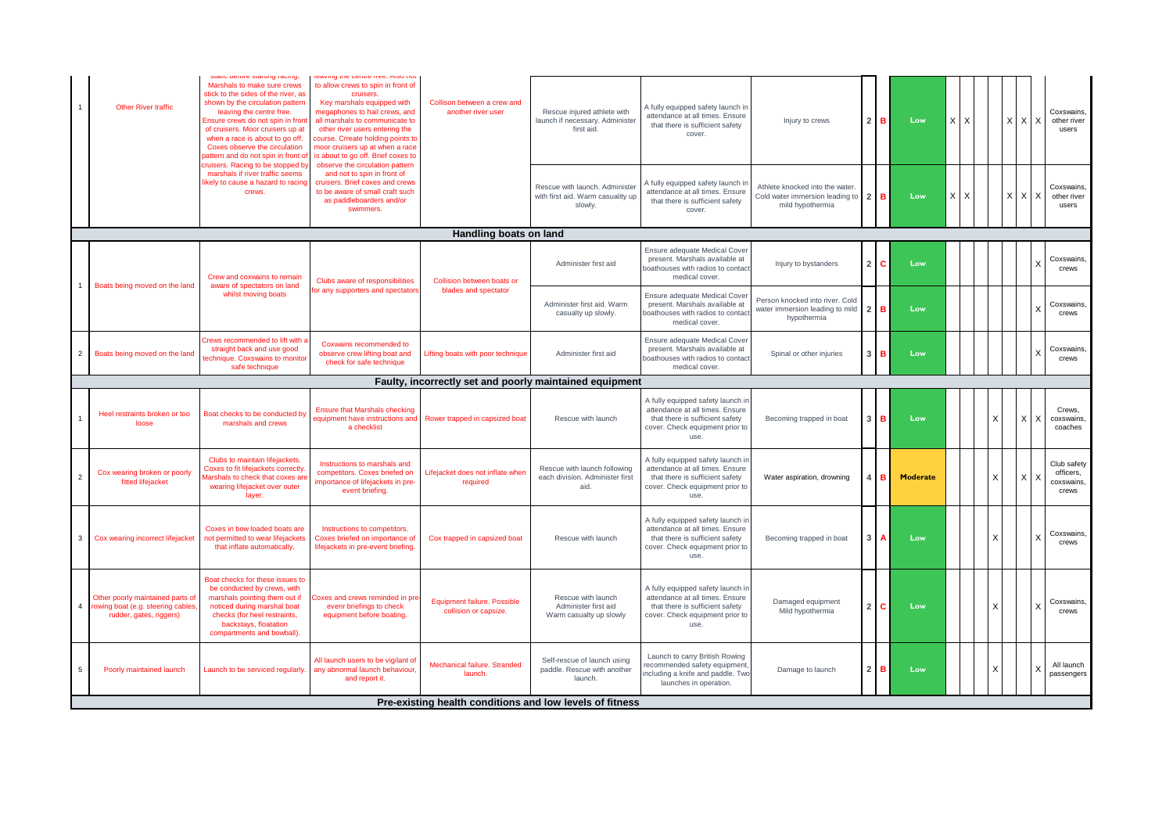|                | <b>Other River traffic</b>                                                                       | static before starting rading.<br>Marshals to make sure crews<br>stick to the sides of the river, as<br>shown by the circulation pattern<br>leaving the centre free.<br>Ensure crews do not spin in front<br>of cruisers. Moor cruisers up at<br>when a race is about to go off.<br>Coxes observe the circulation<br>pattern and do not spin in front of | leaving the centre free. Also not<br>to allow crews to spin in front of<br>cruisers<br>Key marshals equipped with<br>megaphones to hail crews, and<br>all marshals to communicate to<br>other river users entering the<br>course. Crreate holding points to<br>moor cruisers up at when a race<br>is about to go off. Brief coxes to | Collison between a crew and<br>another river user    | Rescue injured athlete with<br>launch if necessary. Administer<br>first aid.   | A fully equipped safety launch in<br>attendance at all times. Ensure<br>that there is sufficient safety<br>cover.                                  | Injury to crews                                                                        |                | $2$ B | Low             | XX      |   | X X X                     | Coxswains.<br>other river<br>users              |
|----------------|--------------------------------------------------------------------------------------------------|----------------------------------------------------------------------------------------------------------------------------------------------------------------------------------------------------------------------------------------------------------------------------------------------------------------------------------------------------------|--------------------------------------------------------------------------------------------------------------------------------------------------------------------------------------------------------------------------------------------------------------------------------------------------------------------------------------|------------------------------------------------------|--------------------------------------------------------------------------------|----------------------------------------------------------------------------------------------------------------------------------------------------|----------------------------------------------------------------------------------------|----------------|-------|-----------------|---------|---|---------------------------|-------------------------------------------------|
|                |                                                                                                  | cruisers. Racing to be stopped by<br>marshals if river traffic seems<br>likely to cause a hazard to racing<br>crews.                                                                                                                                                                                                                                     | observe the circulation pattern<br>and not to spin in front of<br>cruisers. Brief coxes and crews<br>to be aware of small craft such<br>as paddleboarders and/or<br>swimmers.                                                                                                                                                        |                                                      | Rescue with launch, Administer<br>with first aid. Warm casuality up<br>slowly. | A fully equipped safety launch ir<br>attendance at all times. Ensure<br>that there is sufficient safety<br>cover.                                  | Athlete knocked into the water.<br>Cold water immersion leading to<br>mild hypothermia | $\overline{2}$ | в     | Low             | X.<br>X |   | X X X                     | Coxswains.<br>other river<br>users              |
|                |                                                                                                  |                                                                                                                                                                                                                                                                                                                                                          |                                                                                                                                                                                                                                                                                                                                      | Handling boats on land                               |                                                                                |                                                                                                                                                    |                                                                                        |                |       |                 |         |   |                           |                                                 |
|                | Boats being moved on the land                                                                    | Crew and coxwains to remain<br>aware of spectators on land                                                                                                                                                                                                                                                                                               | Clubs aware of responsibilities                                                                                                                                                                                                                                                                                                      | Collision between boats or                           | Administer first aid                                                           | Ensure adequate Medical Cover<br>present. Marshals available at<br>boathouses with radios to contact<br>medical cover.                             | Injury to bystanders                                                                   | 2 <sub>1</sub> | C.    | Low             |         |   |                           | Coxswains,<br>crews                             |
|                |                                                                                                  | whilst moving boats                                                                                                                                                                                                                                                                                                                                      | for any supporters and spectators                                                                                                                                                                                                                                                                                                    | blades and spectator                                 | Administer first aid. Warm<br>casualty up slowly.                              | Ensure adequate Medical Cove<br>present. Marshals available at<br>boathouses with radios to contact<br>medical cover.                              | Person knocked into river. Cold<br>water immersion leading to mild<br>hypothermia      |                | в     | Low             |         |   | $\mathbf{x}$              | Coxswains.<br>crews                             |
| $\overline{2}$ | Boats being moved on the land                                                                    | Crews recommended to lift with a<br>straight back and use good<br>technique. Coxswains to monitor<br>safe technique                                                                                                                                                                                                                                      | Coxwains recommended to<br>observe crew lifting boat and<br>check for safe technique                                                                                                                                                                                                                                                 | Lifting boats with poor technique                    | Administer first aid                                                           | Ensure adequate Medical Cover<br>present. Marshals available at<br>boathouses with radios to contact<br>medical cover.                             | Spinal or other injuries                                                               | 3 <sup>1</sup> | B.    | Low             |         |   |                           | Coxswains.<br>crews                             |
|                | Faulty, incorrectly set and poorly maintained equipment                                          |                                                                                                                                                                                                                                                                                                                                                          |                                                                                                                                                                                                                                                                                                                                      |                                                      |                                                                                |                                                                                                                                                    |                                                                                        |                |       |                 |         |   |                           |                                                 |
|                | Heel restraints broken or too<br>loose                                                           | Boat checks to be conducted by<br>marshals and crews                                                                                                                                                                                                                                                                                                     | <b>Ensure that Marshals checking</b><br>equipment have instructions and<br>a checklist                                                                                                                                                                                                                                               | Rower trapped in capsized boat                       | Rescue with launch                                                             | A fully equipped safety launch ir<br>attendance at all times. Ensure<br>that there is sufficient safety<br>cover. Check equipment prior to<br>use  | Becoming trapped in boat                                                               | 3 <sup>1</sup> | B     | Low             |         | X | X<br>$\mathsf{I} \times$  | Crews.<br>coxswains.<br>coaches                 |
| $\overline{2}$ | Cox wearing broken or poorly<br>fitted lifejacket                                                | Clubs to maintain lifejackets.<br>Coxes to fit lifejackets correctly<br>Marshals to check that coxes an<br>wearing lifejacket over outer<br>layer.                                                                                                                                                                                                       | Instructions to marshals and<br>competitors. Coxes briefed on<br>importance of lifejackets in pre-<br>event briefing.                                                                                                                                                                                                                | Lifejacket does not inflate when<br>required         | Rescue with launch following<br>each division. Administer first<br>aid.        | A fully equipped safety launch in<br>attendance at all times. Ensure<br>that there is sufficient safety<br>cover. Check equipment prior to<br>use. | Water aspiration, drowning                                                             |                | в     | <b>Moderate</b> |         | X | X<br>l x                  | Club safety<br>officers.<br>coxswains.<br>crews |
| 3              | Cox wearing incorrect lifejacket                                                                 | Coxes in bow loaded boats are<br>not permitted to wear lifejackets<br>that inflate automatically.                                                                                                                                                                                                                                                        | Instructions to competitors.<br>Coxes briefed on importance of<br>lifejackets in pre-event briefing.                                                                                                                                                                                                                                 | Cox trapped in capsized boat                         | Rescue with launch                                                             | A fully equipped safety launch in<br>attendance at all times. Ensure<br>that there is sufficient safety<br>cover. Check equipment prior to<br>use. | Becoming trapped in boat                                                               | 3              |       | Low             |         | X | $\boldsymbol{\mathsf{x}}$ | Coxswains<br>crews                              |
| 4              | Other poorly maintained parts of<br>rowing boat (e.g. steering cables<br>rudder, gates, riggers) | Boat checks for these issues to<br>be conducted by crews, with<br>marshals pointing them out if<br>noticed during marshal boat<br>checks (for heel restraints,<br>backstays, floatation<br>compartments and bowball).                                                                                                                                    | Coxes and crews reminded in pre<br>evenr briefings to check<br>equipment before boating.                                                                                                                                                                                                                                             | Equipment failure. Possible<br>collision or capsize. | Rescue with launch<br>Administer first aid<br>Warm casualty up slowly          | A fully equipped safety launch in<br>attendance at all times. Ensure<br>that there is sufficient safety<br>cover. Check equipment prior to<br>use. | Damaged equipment<br>Mild hypothermia                                                  | 2 <sup>1</sup> | C.    | Low             |         | X | $\mathbf{x}$              | Coxswains.<br>crews                             |
| 5              | Poorly maintained launch                                                                         | Launch to be serviced regularly.                                                                                                                                                                                                                                                                                                                         | All launch users to be vigilant of<br>any abnormal launch behaviour.<br>and report it.                                                                                                                                                                                                                                               | Mechanical failure. Stranded<br>launch.              | Self-rescue of launch using<br>paddle. Rescue with another<br>launch.          | Launch to carry British Rowing<br>recommended safety equipment,<br>including a knife and paddle. Two<br>launches in operation.                     | Damage to launch                                                                       | 2 <sub>1</sub> | в     | Low             |         | X | $\times$                  | All launch<br>passengers                        |
|                | Pre-existing health conditions and low levels of fitness                                         |                                                                                                                                                                                                                                                                                                                                                          |                                                                                                                                                                                                                                                                                                                                      |                                                      |                                                                                |                                                                                                                                                    |                                                                                        |                |       |                 |         |   |                           |                                                 |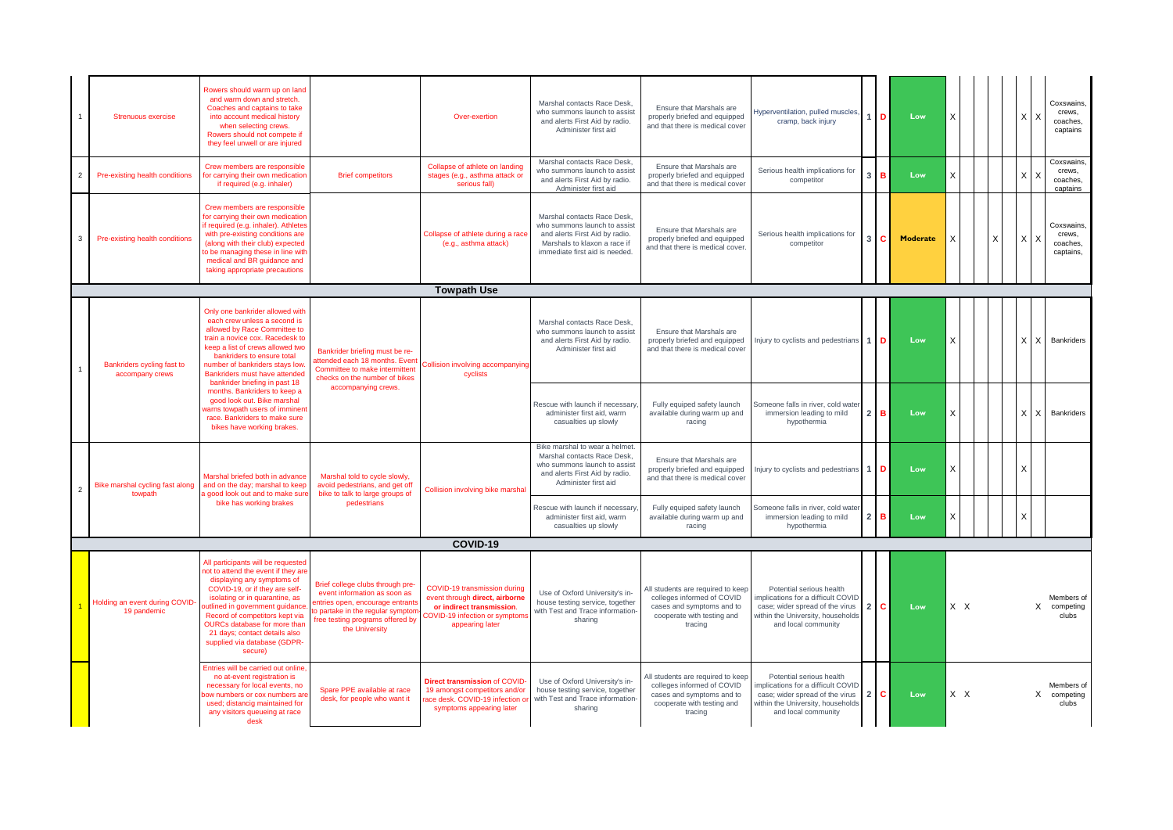|                | Strenuous exercise                            | Rowers should warm up on land<br>and warm down and stretch.<br>Coaches and captains to take<br>into account medical history<br>when selecting crews.<br>Rowers should not compete if<br>they feel unwell or are injured                                                                                                                                      |                                                                                                                                                                                                 | Over-exertion                                                                                                                                   | Marshal contacts Race Desk.<br>who summons launch to assist<br>and alerts First Aid by radio.<br>Administer first aid                                           | Ensure that Marshals are<br>properly briefed and equipped<br>and that there is medical cover                                          | Hyperventilation, pulled muscles,<br>cramp, back injury                                                                                                      |                | 1 D              | Low      |     |  |       | Coxswains.<br>crews,<br>coaches,<br>captains  |
|----------------|-----------------------------------------------|--------------------------------------------------------------------------------------------------------------------------------------------------------------------------------------------------------------------------------------------------------------------------------------------------------------------------------------------------------------|-------------------------------------------------------------------------------------------------------------------------------------------------------------------------------------------------|-------------------------------------------------------------------------------------------------------------------------------------------------|-----------------------------------------------------------------------------------------------------------------------------------------------------------------|---------------------------------------------------------------------------------------------------------------------------------------|--------------------------------------------------------------------------------------------------------------------------------------------------------------|----------------|------------------|----------|-----|--|-------|-----------------------------------------------|
| $\overline{2}$ | Pre-existing health conditions                | Crew members are responsible<br>for carrying their own medication<br>if required (e.g. inhaler)                                                                                                                                                                                                                                                              | <b>Brief competitors</b>                                                                                                                                                                        | Collapse of athlete on landing<br>stages (e.g., asthma attack or<br>serious fall)                                                               | Marshal contacts Race Desk,<br>who summons launch to assist<br>and alerts First Aid by radio.<br>Administer first aid                                           | Ensure that Marshals are<br>properly briefed and equipped<br>and that there is medical cover                                          | Serious health implications for<br>competitor                                                                                                                | $\mathbf{3}$   | <b>B</b>         | Low      | X   |  | Χ     | Coxswains.<br>crews.<br>coaches,<br>captains  |
| 3              | Pre-existing health conditions                | Crew members are responsible<br>for carrying their own medication<br>if required (e.g. inhaler). Athletes<br>with pre-existing conditions are<br>(along with their club) expected<br>to be managing these in line with<br>medical and BR guidance and<br>taking appropriate precautions                                                                      |                                                                                                                                                                                                 | Collapse of athlete during a race<br>(e.g., asthma attack)                                                                                      | Marshal contacts Race Desk,<br>who summons launch to assist<br>and alerts First Aid by radio.<br>Marshals to klaxon a race if<br>immediate first aid is needed. | Ensure that Marshals are<br>properly briefed and equipped<br>and that there is medical cover.                                         | Serious health implications for<br>competitor                                                                                                                |                | c.               | Moderate |     |  | X     | Coxswains.<br>crews.<br>coaches,<br>captains, |
|                |                                               |                                                                                                                                                                                                                                                                                                                                                              |                                                                                                                                                                                                 | <b>Towpath Use</b>                                                                                                                              |                                                                                                                                                                 |                                                                                                                                       |                                                                                                                                                              |                |                  |          |     |  |       |                                               |
|                | Bankriders cycling fast to<br>accompany crews | Only one bankrider allowed with<br>each crew unless a second is<br>allowed by Race Committee to<br>train a novice cox. Racedesk to<br>keep a list of crews allowed two<br>bankriders to ensure total<br>number of bankriders stays low<br>Bankriders must have attended<br>bankrider briefing in past 18                                                     | Bankrider briefing must be re-<br>attended each 18 months. Event<br>Committee to make intermittent<br>checks on the number of bikes                                                             | <b>Collision involving accompanying</b><br>cyclists                                                                                             | Marshal contacts Race Desk.<br>who summons launch to assist<br>and alerts First Aid by radio.<br>Administer first aid                                           | Ensure that Marshals are<br>properly briefed and equipped<br>and that there is medical cover                                          | Injury to cyclists and pedestrians                                                                                                                           |                | $1$ D            | Low      | X   |  | X I X | Bankriders                                    |
|                |                                               | months. Bankriders to keep a<br>good look out. Bike marshal<br>varns towpath users of imminent<br>race. Bankriders to make sure<br>bikes have working brakes.                                                                                                                                                                                                | accompanying crews.                                                                                                                                                                             |                                                                                                                                                 | Rescue with launch if necessary<br>administer first aid, warm<br>casualties up slowly                                                                           | Fully equiped safety launch<br>available during warm up and<br>racing                                                                 | Someone falls in river, cold wate<br>immersion leading to mild<br>hypothermia                                                                                | 2 <sub>1</sub> | в                | Low      | X   |  | Χ     | Bankriders                                    |
| $\overline{2}$ | Bike marshal cycling fast along<br>towpath    | Marshal briefed both in advance<br>and on the day; marshal to keep<br>a good look out and to make sure                                                                                                                                                                                                                                                       | Marshal told to cycle slowly,<br>avoid pedestrians, and get off<br>bike to talk to large groups of                                                                                              | Collision involving bike marshal                                                                                                                | Bike marshal to wear a helmet.<br>Marshal contacts Race Desk.<br>who summons launch to assist<br>and alerts First Aid by radio.<br>Administer first aid         | Ensure that Marshals are<br>properly briefed and equipped<br>and that there is medical cover                                          | Injury to cyclists and pedestrians                                                                                                                           |                | $1$ ID           | Low      | X   |  |       |                                               |
|                |                                               | bike has working brakes                                                                                                                                                                                                                                                                                                                                      | pedestrians                                                                                                                                                                                     |                                                                                                                                                 | Rescue with launch if necessary<br>administer first aid, warm<br>casualties up slowly                                                                           | Fully equiped safety launch<br>available during warm up and<br>racing                                                                 | Someone falls in river, cold wate<br>immersion leading to mild<br>hypothermia                                                                                | 2 <sub>1</sub> | в                | Low      | X   |  |       |                                               |
|                |                                               |                                                                                                                                                                                                                                                                                                                                                              |                                                                                                                                                                                                 | COVID-19                                                                                                                                        |                                                                                                                                                                 |                                                                                                                                       |                                                                                                                                                              |                |                  |          |     |  |       |                                               |
|                | Holding an event during COVID-<br>19 pandemic | All participants will be requested<br>not to attend the event if they are<br>displaying any symptoms of<br>COVID-19, or if they are self-<br>isolating or in quarantine, as<br>outlined in government quidance<br>Record of competitors kept via<br>OURCs database for more than<br>21 days; contact details also<br>supplied via database (GDPR-<br>secure) | Brief college clubs through pre-<br>event information as soon as<br>entries open, encourage entrants<br>to partake in the regular symptor<br>free testing programs offered by<br>the University | COVID-19 transmission during<br>event through direct, airborne<br>or indirect transmission.<br>COVID-19 infection or symptom<br>appearing later | Use of Oxford University's in-<br>house testing service, together<br>with Test and Trace information-<br>sharing                                                | All students are required to keep<br>colleges informed of COVID<br>cases and symptoms and to<br>cooperate with testing and<br>tracing | Potential serious health<br>mplications for a difficult COVID<br>case; wider spread of the virus<br>within the University, households<br>and local community |                | $2 \, \text{C}$  | Low      | X X |  |       | Members of<br>X competing<br>clubs            |
|                |                                               | Entries will be carried out online<br>no at-event registration is<br>necessary for local events, no<br>oow numbers or cox numbers an<br>used; distancig maintained for<br>any visitors queueing at race<br>desk                                                                                                                                              | Spare PPE available at race<br>desk, for people who want it                                                                                                                                     | Direct transmission of COVID-<br>19 amongst competitors and/or<br>race desk. COVID-19 infection o<br>symptoms appearing later                   | Use of Oxford University's in-<br>house testing service, together<br>with Test and Trace information-<br>sharing                                                | All students are required to keep<br>colleges informed of COVID<br>cases and symptoms and to<br>cooperate with testing and<br>tracing | Potential serious health<br>mplications for a difficult COVID<br>case; wider spread of the virus<br>within the University, households<br>and local community |                | $2 \, \text{IC}$ | Low      | X X |  |       | Members of<br>X competing<br>clubs            |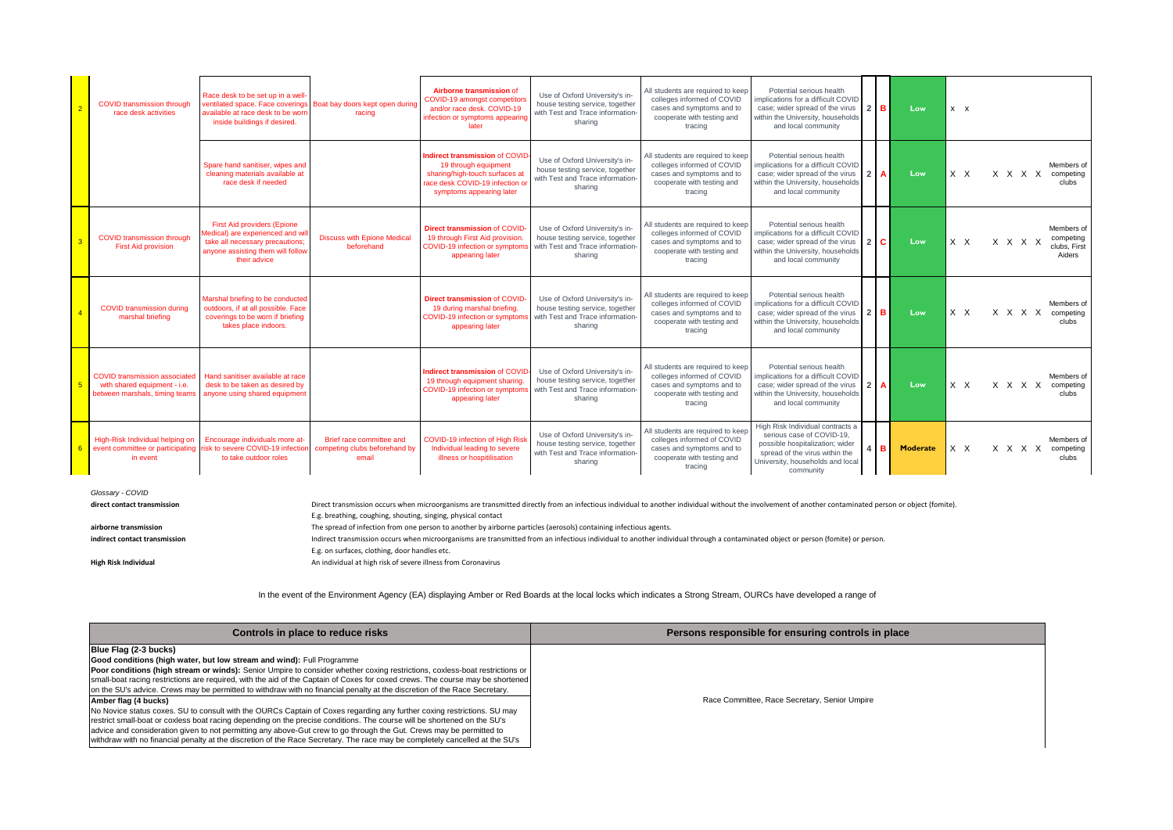|   | <b>COVID transmission through</b><br>race desk activities                                                         | Race desk to be set up in a well-<br>ventilated space. Face coverings Boat bay doors kept open during<br>available at race desk to be worn<br>inside buildings if desired. | racing                                                             | Airborne transmission of<br>COVID-19 amongst competitor<br>and/or race desk. COVID-19<br>infection or symptoms appearing<br>later                     | Use of Oxford University's in-<br>house testing service, together<br>with Test and Trace information-<br>sharing | All students are required to keep<br>colleges informed of COVID<br>cases and symptoms and to<br>cooperate with testing and<br>tracing | Potential serious health<br>mplications for a difficult COVID<br>case; wider spread of the virus<br>within the University, households<br>and local community                        | $2$ IB   | Low             | $x \times$ |         |                                                   |
|---|-------------------------------------------------------------------------------------------------------------------|----------------------------------------------------------------------------------------------------------------------------------------------------------------------------|--------------------------------------------------------------------|-------------------------------------------------------------------------------------------------------------------------------------------------------|------------------------------------------------------------------------------------------------------------------|---------------------------------------------------------------------------------------------------------------------------------------|-------------------------------------------------------------------------------------------------------------------------------------------------------------------------------------|----------|-----------------|------------|---------|---------------------------------------------------|
|   |                                                                                                                   | Spare hand sanitiser, wipes and<br>cleaning materials available at<br>race desk if needed                                                                                  |                                                                    | ndirect transmission of COVID<br>19 through equipment<br>sharing/high-touch surfaces at<br>race desk COVID-19 infection o<br>symptoms appearing later | Use of Oxford University's in-<br>house testing service, together<br>with Test and Trace information-<br>sharing | All students are required to keep<br>colleges informed of COVID<br>cases and symptoms and to<br>cooperate with testing and<br>tracing | Potential serious health<br>mplications for a difficult COVID<br>case; wider spread of the virus<br>within the University, households<br>and local community                        | 2 I A    | Low             | $X$ $X$    | X X X X | Members of<br>competing<br>clubs                  |
|   | <b>COVID transmission through</b><br><b>First Aid provision</b>                                                   | <b>First Aid providers (Epione</b><br>Medical) are experienced and will<br>take all necessary precautions:<br>anyone assisting them will follow<br>their advice            | <b>Discuss with Epione Medical</b><br>beforehand                   | <b>Direct transmission of COVID</b><br>19 through First Aid provision<br>COVID-19 infection or sympton<br>appearing later                             | Use of Oxford University's in-<br>house testing service, together<br>with Test and Trace information-<br>sharing | All students are required to keep<br>colleges informed of COVID<br>cases and symptoms and to<br>cooperate with testing and<br>tracing | Potential serious health<br>implications for a difficult COVID<br>case: wider spread of the virus<br>within the University, households<br>and local community                       | $2\,$ IC | Low             | $X$ $X$    | x x x x | Members of<br>competing<br>clubs, First<br>Aiders |
|   | <b>COVID transmission during</b><br>marshal briefing                                                              | Marshal briefing to be conducted<br>outdoors, if at all possible. Face<br>coverings to be worn if briefing<br>takes place indoors.                                         |                                                                    | Direct transmission of COVID<br>19 during marshal briefing.<br>COVID-19 infection or sympton<br>appearing later                                       | Use of Oxford University's in-<br>house testing service, together<br>with Test and Trace information-<br>sharing | All students are required to keep<br>colleges informed of COVID<br>cases and symptoms and to<br>cooperate with testing and<br>tracing | Potential serious health<br>implications for a difficult COVID<br>case; wider spread of the virus<br>within the University, households<br>and local community                       | $2$ IB   | Low             | $X$ $X$    | X X X X | Members of<br>competing<br>clubs                  |
| 5 | <b>COVID transmission associated</b><br>with shared equipment - i.e.<br>between marshals, timing team:            | Hand sanitiser available at race<br>desk to be taken as desired by<br>anyone using shared equipment                                                                        |                                                                    | <b>Indirect transmission of COVID-</b><br>19 through equipment sharing.<br>COVID-19 infection or symptom<br>appearing later                           | Use of Oxford University's in-<br>house testing service, together<br>with Test and Trace information-<br>sharing | All students are required to keep<br>colleges informed of COVID<br>cases and symptoms and to<br>cooperate with testing and<br>tracing | Potential serious health<br>implications for a difficult COVID<br>case; wider spread of the virus<br>within the University, households<br>and local community                       | $21$ A   | Low             | $X$ $X$    | X X X X | Members of<br>competing<br>clubs                  |
|   | High-Risk Individual helping on<br>event committee or participating risk to severe COVID-19 infection<br>in event | Encourage individuals more at-<br>to take outdoor roles                                                                                                                    | Brief race committee and<br>competing clubs beforehand by<br>email | COVID-19 infection of High Ris<br>Individual leading to severe<br>illness or hospitilisation                                                          | Use of Oxford University's in-<br>house testing service, together<br>with Test and Trace information-<br>sharing | All students are required to keep<br>colleges informed of COVID<br>cases and symptoms and to<br>cooperate with testing and<br>tracing | High Risk Individual contracts a<br>serious case of COVID-19.<br>possible hospitalization; wider<br>spread of the virus within the<br>University, households and local<br>community | l B      | <b>Moderate</b> | $X$ $X$    | X X X X | Members of<br>competing<br>clubs                  |

*Glossary - COVID*

direct contact transmission exponent of another containment of another individual to another individual without the involvement of another contaminated person or object (fomite). E.g. breathing, coughing, shouting, singing, physical contact **airborne transmission The spread of infection from one person to another by airborne particles (aerosols) containing infectious agents.<br>
Indirect transmission occurs when microorganisms are transmitted from an infectiou** Indirect transmission occurs when microorganisms are transmitted from an infectious individual to another individual through a contaminated object or person (fomite) or person. E.g. on surfaces, clothing, door handles etc. **High Risk Individual** An individual at high risk of severe illness from Coronavirus

In the event of the Environment Agency (EA) displaying Amber or Red Boards at the local locks which indicates a Strong Stream, OURCs have developed a range of

| Controls in place to reduce risks                                                                                                                                                                                                                                                                                                                                                                                                                                                                                                   | Persons responsible for ensuring controls in place |
|-------------------------------------------------------------------------------------------------------------------------------------------------------------------------------------------------------------------------------------------------------------------------------------------------------------------------------------------------------------------------------------------------------------------------------------------------------------------------------------------------------------------------------------|----------------------------------------------------|
| Blue Flag (2-3 bucks)<br>Good conditions (high water, but low stream and wind): Full Programme<br>Poor conditions (high stream or winds): Senior Umpire to consider whether coxing restrictions, coxless-boat restrictions or<br>small-boat racing restrictions are required, with the aid of the Captain of Coxes for coxed crews. The course may be shortened<br>on the SU's advice. Crews may be permitted to withdraw with no financial penalty at the discretion of the Race Secretary.                                        |                                                    |
| Amber flag (4 bucks)<br>No Novice status coxes. SU to consult with the OURCs Captain of Coxes regarding any further coxing restrictions. SU may<br>restrict small-boat or coxless boat racing depending on the precise conditions. The course will be shortened on the SU's<br>advice and consideration given to not permitting any above-Gut crew to go through the Gut. Crews may be permitted to<br>withdraw with no financial penalty at the discretion of the Race Secretary. The race may be completely cancelled at the SU's | Race Committee, Race Secretary, Senior Umpire      |